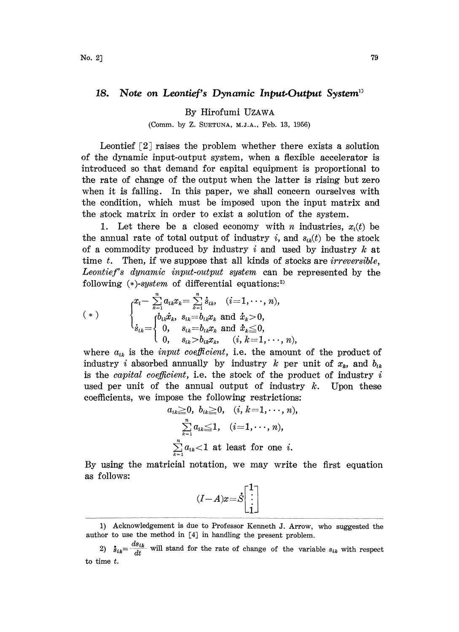## 18. Note on Leontief's Dynamic Input-Output System<sup>11</sup>

By Hirofumi UZAWA

(Comm. by Z. SUETUNA, M.J.A., Feb. 13, 1956)

Leontief [2] raises the problem whether there exists a solution of the dynamic input-output system, when a flexible accelerator is introduced so that demand for capital equipment is proportional to the rate of change of the output when the latter is rising but zero when it is falling. In this paper, we shall concern ourselves with the condition, which must be imposed upon the input matrix and the stock matrix in order to exist a solution of the system.

1. Let there be a closed economy with *n* industries,  $x_i(t)$  be the annual rate of total output of industry i, and  $s_{ik}(t)$  be the stock of a commodity produced by industry  $i$  and used by industry  $k$  at time t. Then, if we suppose that all kinds of stocks are *irreversible*, Leontief's dynamic input-output system can be represented by the following  $(*)$ -system of differential equations:<sup>2)</sup>

$$
(*)\qquad \qquad \begin{cases}\n x_i - \sum_{k=1}^n a_{ik}x_k = \sum_{k=1}^n \dot{s}_{ik}, & (i=1,\dots,n), \\
 \dot{s}_{ik} = \begin{cases}\n b_{ik}\dot{x}_k, & s_{ik} = b_{ik}x_k \text{ and } \dot{x}_k > 0, \\
 0, & s_{ik} = b_{ik}x_k \text{ and } \dot{x}_k \leq 0, \\
 0, & s_{ik} > b_{ik}x_k, & (i, k = 1,\dots,n),\n\end{cases}
$$

where  $a_{ik}$  is the *input coefficient*, i.e. the amount of the product of industry *i* absorbed annually by industry *k* per unit of  $x_k$ , and  $b_{ik}$ is the *capital coefficient*, i.e. the stock of the product of industry  $i$ used per unit of the annual output of industry  $k$ . Upon these coefficients, we impose the following restrictions:

$$
a_{ik} \geq 0, b_{ik} \geq 0, (i, k=1,\dots,n),
$$

$$
\sum_{k=1}^n a_{ik} \leq 1, (i=1,\dots,n),
$$

$$
\sum_{k=1}^n a_{ik} < 1
$$
 at least for one *i*.

By using the matricial notation, we may write the first equation as follows:

$$
(I-A)x = \dot{S} \begin{bmatrix} 1 \\ \vdots \\ 1 \end{bmatrix}
$$

<sup>1)</sup> Acknowledgement is due to Professor Kenneth J. Arrow, who suggested the author to use the method in [4] in handling the present problem.

<sup>2)</sup>  $\dot{s}_{ik} = \frac{ds_{ik}}{dt}$  will stand for the rate of change of the variable  $s_{ik}$  with respect  $\begin{aligned}\n\mathbf{u} \cdot \mathbf{u} \cdot \mathbf{d}t \\
\mathbf{v} \cdot \mathbf{u} \cdot \mathbf{d}t\n\end{aligned}$ to time t.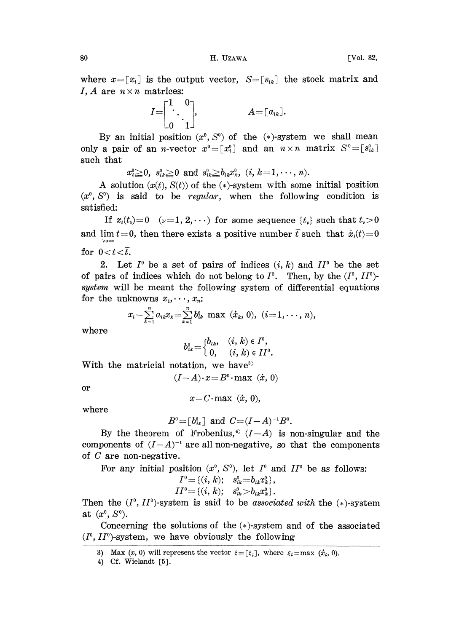$B_0$  B. Eq. and H. Uzawa  $B_1$  and  $B_2$  is the set of  $B_3$  is the set of  $B_4$  is the set of  $B_2$  is the set of  $B_3$  is the set of  $B_4$  is the set of  $B_4$  is the set of  $B_4$  is the set of  $B_4$  is the set of  $B_4$ 

where  $x=[x_i]$  is the output vector,  $S=[s_{ik}]$  the stock matrix and I, A are  $n \times n$  matrices:

$$
I = \begin{bmatrix} 1 & 0 \\ \cdot & \cdot \\ 0 & 1 \end{bmatrix}, \qquad \qquad A = \begin{bmatrix} a_{ik} \end{bmatrix}.
$$

By an initial position  $(x^0, S^0)$  of the  $(*)$ -system we shall mean only a pair of an *n*-vector  $x^0 = [x_i^0]$  and an  $n \times n$  matrix  $S^0 = [s_{ik}^0]$ such that

 $x_i^0 \geq 0$ ,  $s_{ik}^0 \geq 0$  and  $s_{ik}^0 \geq b_{ik}x_k^0$ ,  $(i, k=1,\dots, n)$ .

A solution  $(x(t), S(t))$  of the  $(*)$ -system with some initial position  $(x^0, S^0)$  is said to be regular, when the following condition is satisfied:

If  $x_i(t) = 0 \quad (\nu=1, 2, \dots)$  for some sequence  $\{t_{\nu}\}\$  such that  $t_{\nu} > 0$ and lim  $t=0$ , then there exists a positive number  $\bar{t}$  such that  $\dot{x}_i(t)=0$ for  $0 < t < \bar{t}$ .

2. Let  $I^0$  be a set of pairs of indices  $(i, k)$  and  $II^0$  be the set of pairs of indices which do not belong to  $I^0$ . Then, by the  $(I^0, I I^0)$ system will be meant the following system of differential equations for the unknowns  $x_1, \dots, x_n$ :

$$
x_i-\sum_{k=1}^n a_{ik}x_k=\sum_{k=1}^n b_{ik}^0\ \text{max}\ (\dot{x}_k, 0),\ (i=1,\cdots,n),
$$

where

$$
b_{ik}^0 = \begin{cases} b_{ik}, & (i, k) \in I^0, \\ 0, & (i, k) \in II^0. \end{cases}
$$

With the matricial notation, we have<sup>3)</sup>

$$
(I-A)\cdot x = B^0 \cdot \max (x, 0)
$$

or

$$
x = C \cdot \max (x, 0),
$$

where

$$
B^0 = [b_{ik}^0]
$$
 and  $C = (I - A)^{-1}B^0$ .

By the theorem of Frobenius,<sup>4</sup>  $(I-A)$  is non-singular and the components of  $(I-A)^{-1}$  are all non-negative, so that the components of C are non-negative. of C are non-negative.

For any initial position  $(x^0, S^0)$ , let  $I^0$  and  $II^0$  be as follows:

$$
I^0 = \{ (i, k); \quad s_{ik}^0 = b_{ik} x_{ik}^0 \},
$$
  
\n
$$
II^0 = \{ (i, k); \quad s_{ik}^0 > b_{ik} x_{ik}^0 \}.
$$

 $II^0 = \{(i, k); s_{ik}^0 > b_{ik} x_k^0\}.$ <br>Then the  $(I^0, II^0)$ -system is said to be *associated with* the  $(*)$ -system at  $(x^0, S^0)$ .

Concerning the solutions of the  $(*)$ -system and of the associated  $(I^0, II^0)$ -system, we have obviously the following

<sup>3)</sup> Max  $(x, 0)$  will represent the vector  $\xi = [\xi_i]$ , where  $\xi_i = \max(\dot{x}_i, 0)$ .

<sup>4)</sup> Cf. Wielandt [5].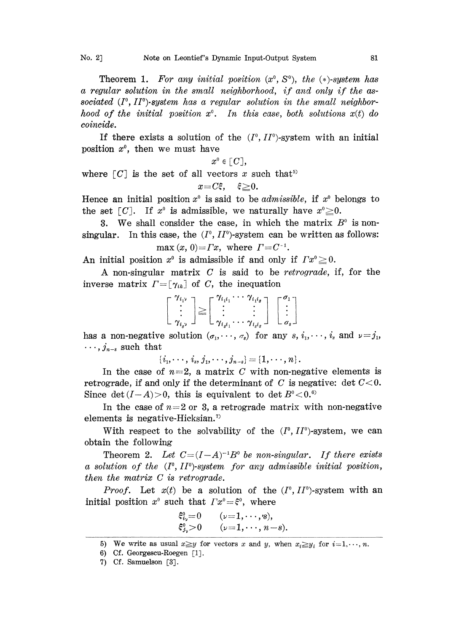Theorem 1. For any initial position  $(x^0, S^0)$ , the  $(*)$ -system has a regular solution in the small neighborhood, if and only if the associated  $(I^{\circ}, I^{\circ})$ -system has a regular solution in the small neighborhood of the initial position  $x^{\circ}$ . In this case, both solutions  $x(t)$  do coincide.

If there exists a solution of the  $(I^0, I^0)$ -system with an initial position  $x^0$ , then we must have

$$
x^{\scriptscriptstyle 0}\in [\,C\,],
$$

where  $\lceil C \rceil$  is the set of all vectors x such that<sup>5)</sup>

$$
x{=}C\xi, \quad \xi{\geq}0.
$$

Hence an initial position  $x^0$  is said to be *admissible*, if  $x^0$  belongs to the set  $\lceil C \rceil$ . If  $x^{\circ}$  is admissible, we naturally have  $x^{\circ} \geq 0$ .

3. We shall consider the case, in which the matrix  $B^0$  is nonsingular. In this case, the  $(I^0, II^0)$ -system can be written as follows: max  $(x, 0) = \Gamma x$ , where  $\Gamma = C^{-1}$ .

An initial position  $x^0$  is admissible if and only if  $Tx^0 \ge 0$ .

A non-singular matrix C is said to be retrograde, if, for the inverse matrix  $\Gamma = [\gamma_{ik}]$  of C, the inequation

| $\Gamma^{-} \gamma_{i_1 \nu}$ | $\Gamma$ $\gamma_{i,i}$                                              | $\cdots$ $\gamma_{i_1 i_s}$ $\lnot$ |                |
|-------------------------------|----------------------------------------------------------------------|-------------------------------------|----------------|
|                               | $\geq$                                                               |                                     |                |
|                               | $\mathcal{L}^{\text{max}}$                                           |                                     |                |
| $\perp \gamma_{i,\nu} \perp$  | $\mathcal{L}$ $\gamma_{i_s i_1} \cdots \gamma_{i_s i_s} \mathcal{L}$ |                                     | - $\sigma_s$ - |

has a non-negative solution  $(\sigma_1,\dots,\sigma_s)$  for any  $s, i_1,\dots,i_s$  and  $\nu=j_1$ ,  $\cdots$ ,  $j_{n-s}$  such that

 ${i_1,\dots, i_s, j_1,\dots, j_{n-s}} = {1,\dots, n}.$ 

In the case of  $n=2$ , a matrix C with non-negative elements is retrograde, if and only if the determinant of C is negative: det  $C < 0$ . Since det  $(I - A) > 0$ , this is equivalent to det  $B^0 < 0.6$ 

In the case of  $n=2$  or 3, a retrograde matrix with non-negative elements is negative-Hicksian.

With respect to the solvability of the  $(I^0, II^0)$ -system, we can obtain the following

Theorem 2. Let  $C=(I-A)^{-1}B^0$  be non-singular. If there exists a solution of the  $(I^0, II^0)$ -system for any admissible initial position, then the matrix C is retrograde.

*Proof.* Let  $x(t)$  be a solution of the  $(I^0, II^0)$ -system with an initial position  $x^0$  such that  $Tx^0 = \xi^0$ , where

$$
\xi_{i_{\nu}}^0=0 \qquad (\nu=1,\cdots,s),\n\xi_{j_{\nu}}^0>0 \qquad (\nu=1,\cdots,n-s).
$$

<sup>5)</sup> We write as usual  $x \geq y$  for vectors x and y, when  $x_i \geq y_i$  for  $i=1,\dots, n$ .

<sup>6)</sup> Cf. Georgescu-Roegen [lJ.

<sup>7)</sup> Cf. Samuelson [3].